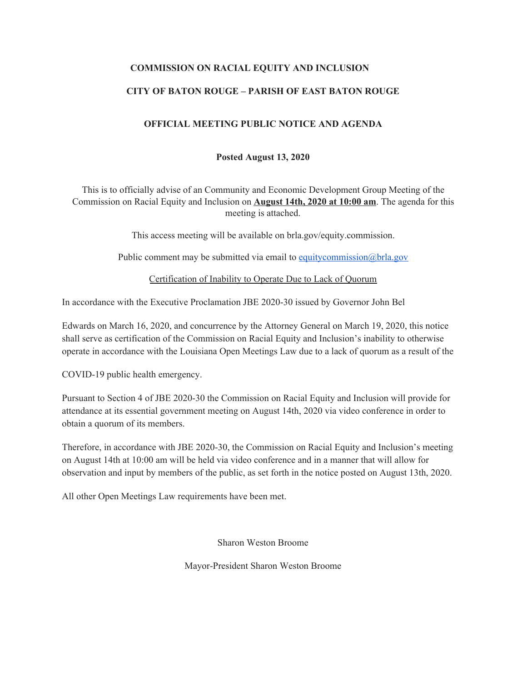## **COMMISSION ON RACIAL EQUITY AND INCLUSION**

## **CITY OF BATON ROUGE – PARISH OF EAST BATON ROUGE**

## **OFFICIAL MEETING PUBLIC NOTICE AND AGENDA**

## **Posted August 13, 2020**

This is to officially advise of an Community and Economic Development Group Meeting of the Commission on Racial Equity and Inclusion on **August 14th, 2020 at 10:00 am**. The agenda for this meeting is attached.

This access meeting will be available on brla.gov/equity.commission.

Public comment may be submitted via email to [equitycommission@brla.gov](mailto:equitycommission@brla.gov)

Certification of Inability to Operate Due to Lack of Quorum

In accordance with the Executive Proclamation JBE 2020-30 issued by Governor John Bel

Edwards on March 16, 2020, and concurrence by the Attorney General on March 19, 2020, this notice shall serve as certification of the Commission on Racial Equity and Inclusion's inability to otherwise operate in accordance with the Louisiana Open Meetings Law due to a lack of quorum as a result of the

COVID-19 public health emergency.

Pursuant to Section 4 of JBE 2020-30 the Commission on Racial Equity and Inclusion will provide for attendance at its essential government meeting on August 14th, 2020 via video conference in order to obtain a quorum of its members.

Therefore, in accordance with JBE 2020-30, the Commission on Racial Equity and Inclusion's meeting on August 14th at 10:00 am will be held via video conference and in a manner that will allow for observation and input by members of the public, as set forth in the notice posted on August 13th, 2020.

All other Open Meetings Law requirements have been met.

Sharon Weston Broome

Mayor-President Sharon Weston Broome